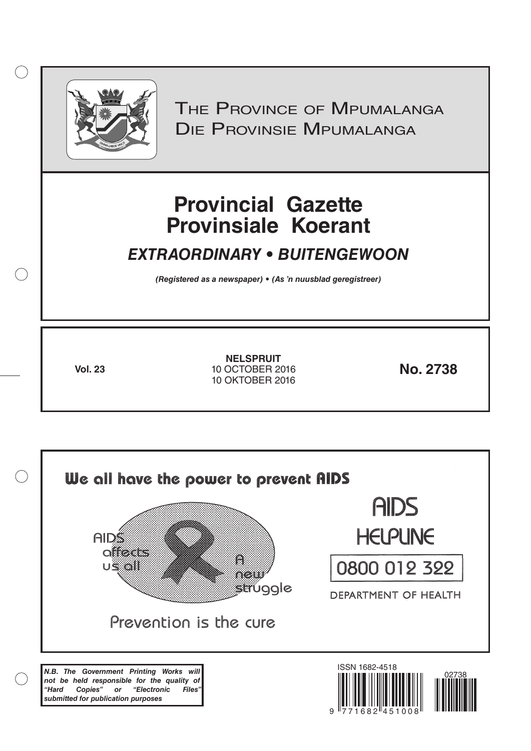

 $( )$ 

THE PROVINCE OF MPUMALANGA Die Provinsie Mpumalanga

# **Provincial Gazette Provinsiale Koerant**

## *EXTRAORDINARY • BUITENGEWOON*

*(Registered as a newspaper) • (As 'n nuusblad geregistreer)*

**Vol. 23 No. 2738** 10 OCTOBER 2016 **NELSPRUIT** 10 OKTOBER 2016

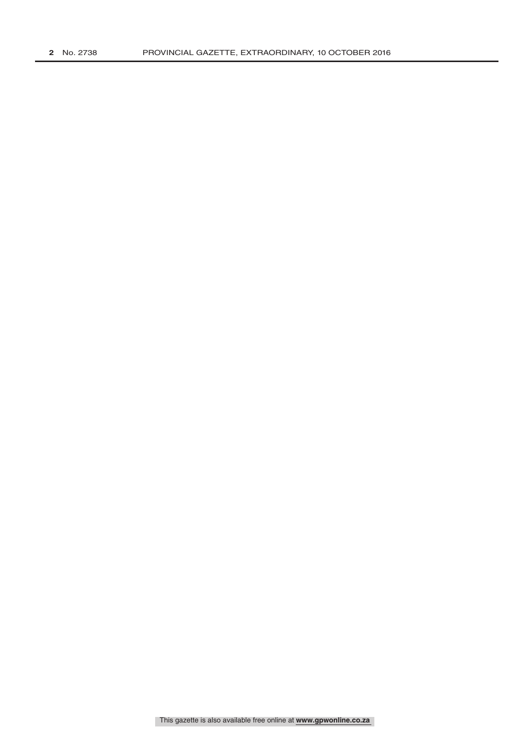This gazette is also available free online at **www.gpwonline.co.za**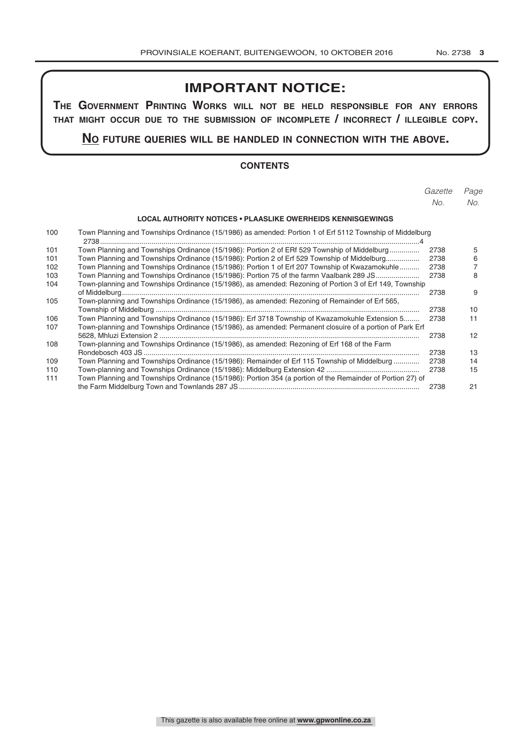### **IMPORTANT NOTICE:**

**The GovernmenT PrinTinG Works Will noT be held resPonsible for any errors ThaT miGhT occur due To The submission of incomPleTe / incorrecT / illeGible coPy.**

**no fuTure queries Will be handled in connecTion WiTh The above.**

#### **CONTENTS**

|     |                                                                                                            | Gazette | Page |
|-----|------------------------------------------------------------------------------------------------------------|---------|------|
|     |                                                                                                            | No.     | No.  |
|     | LOCAL AUTHORITY NOTICES • PLAASLIKE OWERHEIDS KENNISGEWINGS                                                |         |      |
| 100 | Town Planning and Townships Ordinance (15/1986) as amended: Portion 1 of Erf 5112 Township of Middelburg   |         |      |
| 101 | Town Planning and Townships Ordinance (15/1986): Portion 2 of ERf 529 Township of Middelburg               | 2738    | 5    |
| 101 | Town Planning and Townships Ordinance (15/1986): Portion 2 of Erf 529 Township of Middelburg               | 2738    | 6    |
| 102 | Town Planning and Townships Ordinance (15/1986): Portion 1 of Erf 207 Township of Kwazamokuhle             | 2738    |      |
| 103 | Town Planning and Townships Ordinance (15/1986): Portion 75 of the farmn Vaalbank 289 JS                   | 2738    |      |
| 104 | Town-planning and Townships Ordinance (15/1986), as amended: Rezoning of Portion 3 of Erf 149, Township    |         |      |
|     |                                                                                                            | 2738    | 9    |
| 105 | Town-planning and Townships Ordinance (15/1986), as amended: Rezoning of Remainder of Erf 565,             |         |      |
|     |                                                                                                            | 2738    | 10   |
| 106 | Town Planning and Townships Ordinance (15/1986): Erf 3718 Township of Kwazamokuhle Extension 5             | 2738    | 11   |
| 107 | Town-planning and Townships Ordinance (15/1986), as amended: Permanent closuire of a portion of Park Erf   |         |      |
|     |                                                                                                            | 2738    | 12   |
| 108 | Town-planning and Townships Ordinance (15/1986), as amended: Rezoning of Erf 168 of the Farm               |         |      |
|     |                                                                                                            | 2738    | 13   |
| 109 | Town Planning and Townships Ordinance (15/1986): Remainder of Erf 115 Township of Middelburg               | 2738    | 14   |
| 110 |                                                                                                            | 2738    | 15   |
| 111 | Town Planning and Townships Ordinance (15/1986): Portion 354 (a portion of the Remainder of Portion 27) of |         |      |
|     |                                                                                                            | 2738    | 21   |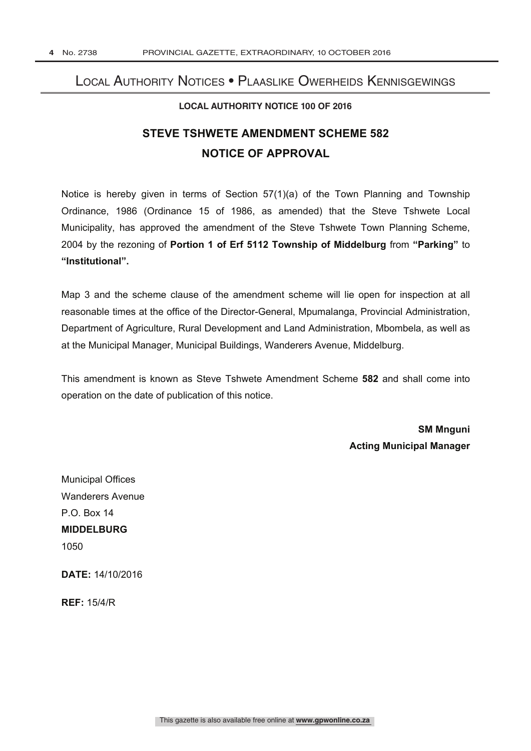### Local Authority Notices • Plaaslike Owerheids Kennisgewings

#### **LOCAL AUTHORITY NOTICE 100 OF 2016**

## **STEVE TSHWETE AMENDMENT SCHEME 582 NOTICE OF APPROVAL**

Notice is hereby given in terms of Section 57(1)(a) of the Town Planning and Township Ordinance, 1986 (Ordinance 15 of 1986, as amended) that the Steve Tshwete Local Municipality, has approved the amendment of the Steve Tshwete Town Planning Scheme, 2004 by the rezoning of **Portion 1 of Erf 5112 Township of Middelburg** from **"Parking"** to **"Institutional".**

Map 3 and the scheme clause of the amendment scheme will lie open for inspection at all reasonable times at the office of the Director-General, Mpumalanga, Provincial Administration, Department of Agriculture, Rural Development and Land Administration, Mbombela, as well as at the Municipal Manager, Municipal Buildings, Wanderers Avenue, Middelburg.

This amendment is known as Steve Tshwete Amendment Scheme **582** and shall come into operation on the date of publication of this notice.

> **SM Mnguni Acting Municipal Manager**

Municipal Offices Wanderers Avenue P.O. Box 14 **MIDDELBURG** 1050

**DATE:** 14/10/2016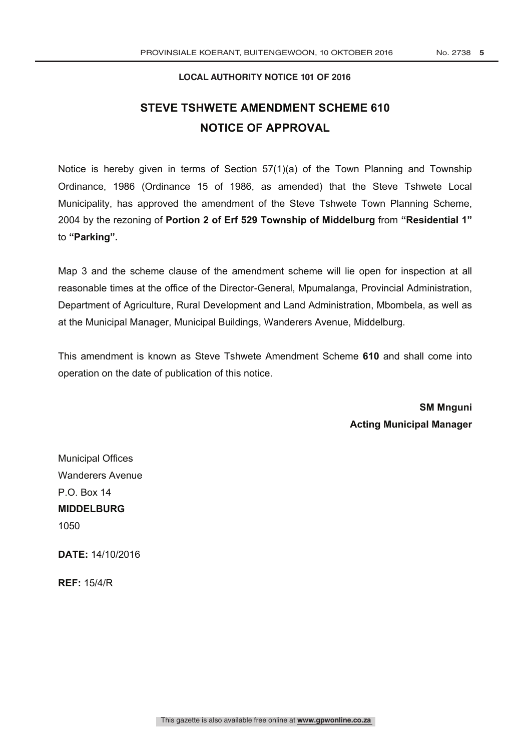#### **LOCAL AUTHORITY NOTICE 101 OF 2016**

## **STEVE TSHWETE AMENDMENT SCHEME 610 NOTICE OF APPROVAL**

Notice is hereby given in terms of Section 57(1)(a) of the Town Planning and Township Ordinance, 1986 (Ordinance 15 of 1986, as amended) that the Steve Tshwete Local Municipality, has approved the amendment of the Steve Tshwete Town Planning Scheme, 2004 by the rezoning of **Portion 2 of Erf 529 Township of Middelburg** from **"Residential 1"** to **"Parking".**

Map 3 and the scheme clause of the amendment scheme will lie open for inspection at all reasonable times at the office of the Director-General, Mpumalanga, Provincial Administration, Department of Agriculture, Rural Development and Land Administration, Mbombela, as well as at the Municipal Manager, Municipal Buildings, Wanderers Avenue, Middelburg.

This amendment is known as Steve Tshwete Amendment Scheme **610** and shall come into operation on the date of publication of this notice.

> **SM Mnguni Acting Municipal Manager**

Municipal Offices Wanderers Avenue P.O. Box 14 **MIDDELBURG** 1050

**DATE:** 14/10/2016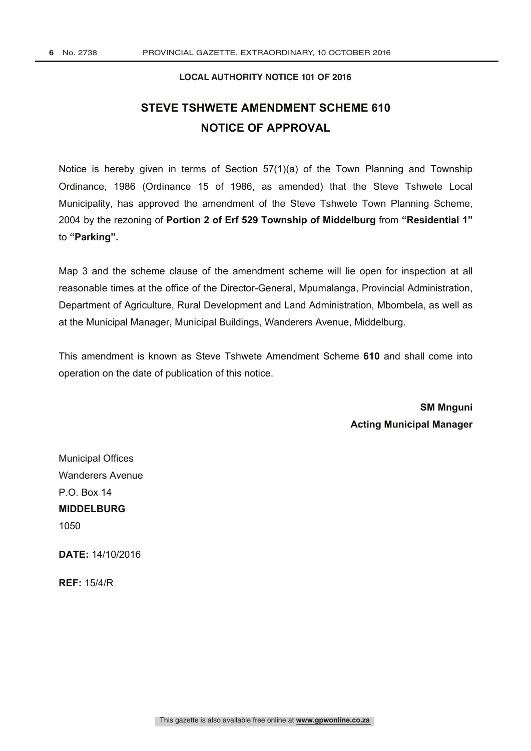#### **LOCAL AUTHORITY NOTICE 101 OF 2016**

## **STEVE TSHWETE AMENDMENT SCHEME 610 NOTICE OF APPROVAL**

Notice is hereby given in terms of Section 57(1)(a) of the Town Planning and Township Ordinance, 1986 (Ordinance 15 of 1986, as amended) that the Steve Tshwete Local Municipality, has approved the amendment of the Steve Tshwete Town Planning Scheme, 2004 by the rezoning of **Portion 2 of Erf 529 Township of Middelburg** from **"Residential 1"** to **"Parking".**

Map 3 and the scheme clause of the amendment scheme will lie open for inspection at all reasonable times at the office of the Director-General, Mpumalanga, Provincial Administration, Department of Agriculture, Rural Development and Land Administration, Mbombela, as well as at the Municipal Manager, Municipal Buildings, Wanderers Avenue, Middelburg.

This amendment is known as Steve Tshwete Amendment Scheme **610** and shall come into operation on the date of publication of this notice.

> **SM Mnguni Acting Municipal Manager**

Municipal Offices Wanderers Avenue P.O. Box 14 **MIDDELBURG** 1050

**DATE:** 14/10/2016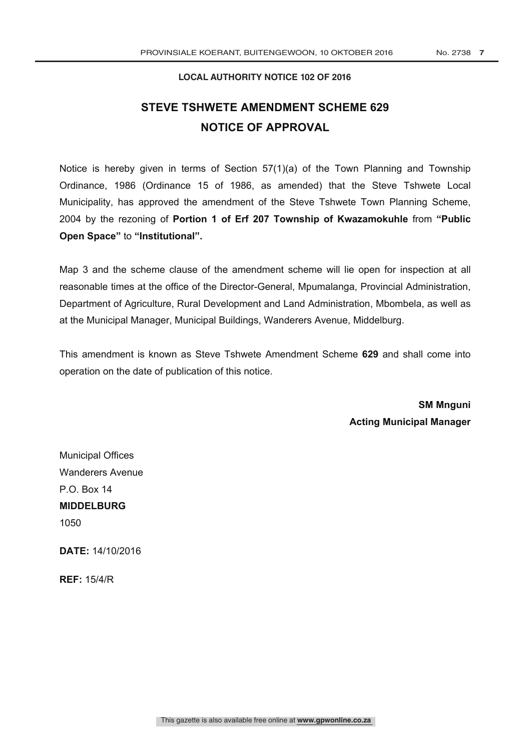#### **LOCAL AUTHORITY NOTICE 102 OF 2016**

## **STEVE TSHWETE AMENDMENT SCHEME 629 NOTICE OF APPROVAL**

Notice is hereby given in terms of Section 57(1)(a) of the Town Planning and Township Ordinance, 1986 (Ordinance 15 of 1986, as amended) that the Steve Tshwete Local Municipality, has approved the amendment of the Steve Tshwete Town Planning Scheme, 2004 by the rezoning of **Portion 1 of Erf 207 Township of Kwazamokuhle** from **"Public Open Space"** to **"Institutional".**

Map 3 and the scheme clause of the amendment scheme will lie open for inspection at all reasonable times at the office of the Director-General, Mpumalanga, Provincial Administration, Department of Agriculture, Rural Development and Land Administration, Mbombela, as well as at the Municipal Manager, Municipal Buildings, Wanderers Avenue, Middelburg.

This amendment is known as Steve Tshwete Amendment Scheme **629** and shall come into operation on the date of publication of this notice.

> **SM Mnguni Acting Municipal Manager**

Municipal Offices Wanderers Avenue P.O. Box 14 **MIDDELBURG** 1050

**DATE:** 14/10/2016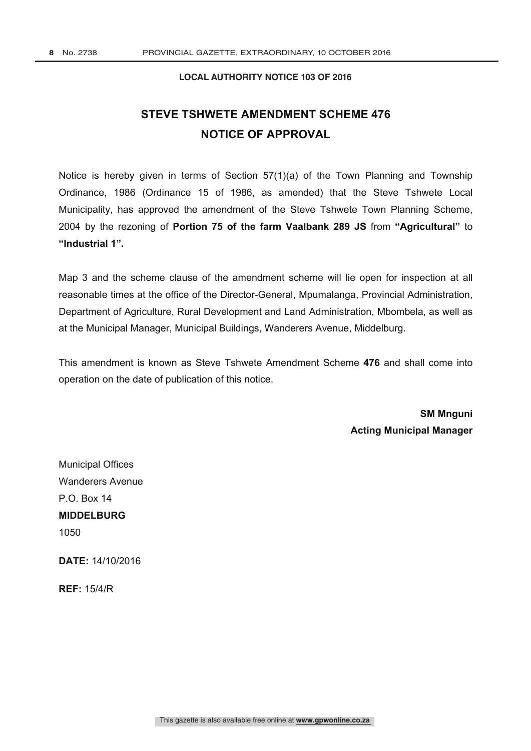#### **LOCAL AUTHORITY NOTICE 103 OF 2016**

## **STEVE TSHWETE AMENDMENT SCHEME 476 NOTICE OF APPROVAL**

Notice is hereby given in terms of Section 57(1)(a) of the Town Planning and Township Ordinance, 1986 (Ordinance 15 of 1986, as amended) that the Steve Tshwete Local Municipality, has approved the amendment of the Steve Tshwete Town Planning Scheme, 2004 by the rezoning of **Portion 75 of the farm Vaalbank 289 JS** from **"Agricultural"** to **"Industrial 1".**

Map 3 and the scheme clause of the amendment scheme will lie open for inspection at all reasonable times at the office of the Director-General, Mpumalanga, Provincial Administration, Department of Agriculture, Rural Development and Land Administration, Mbombela, as well as at the Municipal Manager, Municipal Buildings, Wanderers Avenue, Middelburg.

This amendment is known as Steve Tshwete Amendment Scheme **476** and shall come into operation on the date of publication of this notice.

> **SM Mnguni Acting Municipal Manager**

Municipal Offices Wanderers Avenue P.O. Box 14 **MIDDELBURG** 1050

**DATE:** 14/10/2016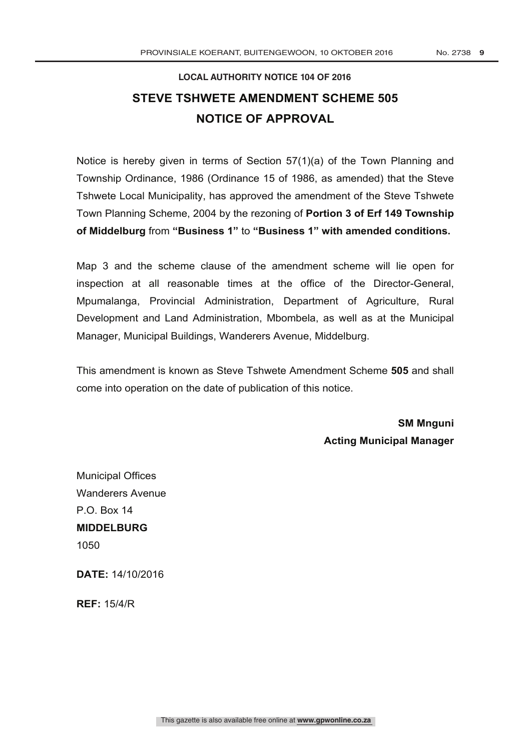## **LOCAL AUTHORITY NOTICE 104 OF 2016 STEVE TSHWETE AMENDMENT SCHEME 505 NOTICE OF APPROVAL**

Notice is hereby given in terms of Section 57(1)(a) of the Town Planning and Township Ordinance, 1986 (Ordinance 15 of 1986, as amended) that the Steve Tshwete Local Municipality, has approved the amendment of the Steve Tshwete Town Planning Scheme, 2004 by the rezoning of **Portion 3 of Erf 149 Township of Middelburg** from **"Business 1"** to **"Business 1" with amended conditions.**

Map 3 and the scheme clause of the amendment scheme will lie open for inspection at all reasonable times at the office of the Director-General, Mpumalanga, Provincial Administration, Department of Agriculture, Rural Development and Land Administration, Mbombela, as well as at the Municipal Manager, Municipal Buildings, Wanderers Avenue, Middelburg.

This amendment is known as Steve Tshwete Amendment Scheme **505** and shall come into operation on the date of publication of this notice.

> **SM Mnguni Acting Municipal Manager**

Municipal Offices Wanderers Avenue P.O. Box 14 **MIDDELBURG** 1050

**DATE:** 14/10/2016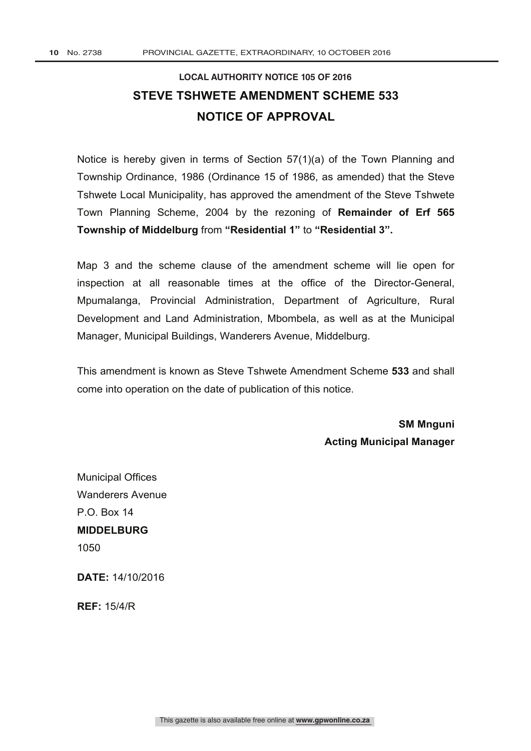## **LOCAL AUTHORITY NOTICE 105 OF 2016 STEVE TSHWETE AMENDMENT SCHEME 533 NOTICE OF APPROVAL**

Notice is hereby given in terms of Section 57(1)(a) of the Town Planning and Township Ordinance, 1986 (Ordinance 15 of 1986, as amended) that the Steve Tshwete Local Municipality, has approved the amendment of the Steve Tshwete Town Planning Scheme, 2004 by the rezoning of **Remainder of Erf 565 Township of Middelburg** from **"Residential 1"** to **"Residential 3".**

Map 3 and the scheme clause of the amendment scheme will lie open for inspection at all reasonable times at the office of the Director-General, Mpumalanga, Provincial Administration, Department of Agriculture, Rural Development and Land Administration, Mbombela, as well as at the Municipal Manager, Municipal Buildings, Wanderers Avenue, Middelburg.

This amendment is known as Steve Tshwete Amendment Scheme **533** and shall come into operation on the date of publication of this notice.

> **SM Mnguni Acting Municipal Manager**

Municipal Offices Wanderers Avenue P.O. Box 14 **MIDDELBURG** 1050 **DATE:** 14/10/2016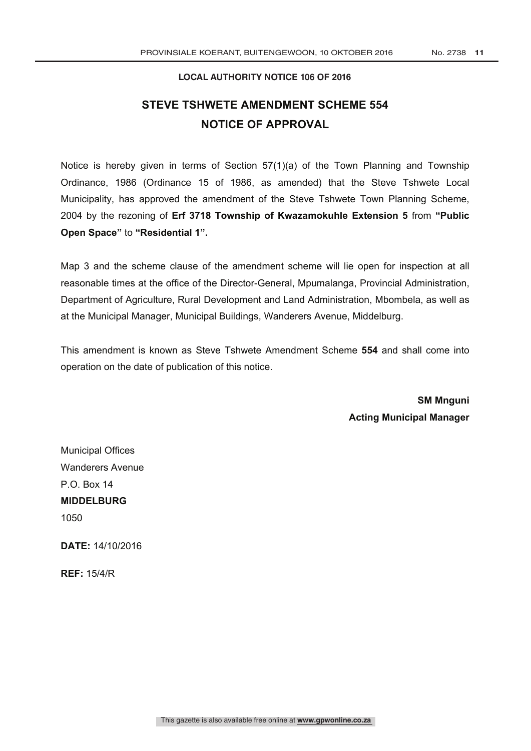#### **LOCAL AUTHORITY NOTICE 106 OF 2016**

### **STEVE TSHWETE AMENDMENT SCHEME 554 NOTICE OF APPROVAL**

Notice is hereby given in terms of Section 57(1)(a) of the Town Planning and Township Ordinance, 1986 (Ordinance 15 of 1986, as amended) that the Steve Tshwete Local Municipality, has approved the amendment of the Steve Tshwete Town Planning Scheme, 2004 by the rezoning of **Erf 3718 Township of Kwazamokuhle Extension 5** from **"Public Open Space"** to **"Residential 1".**

Map 3 and the scheme clause of the amendment scheme will lie open for inspection at all reasonable times at the office of the Director-General, Mpumalanga, Provincial Administration, Department of Agriculture, Rural Development and Land Administration, Mbombela, as well as at the Municipal Manager, Municipal Buildings, Wanderers Avenue, Middelburg.

This amendment is known as Steve Tshwete Amendment Scheme **554** and shall come into operation on the date of publication of this notice.

> **SM Mnguni Acting Municipal Manager**

Municipal Offices Wanderers Avenue P.O. Box 14 **MIDDELBURG** 1050

**DATE:** 14/10/2016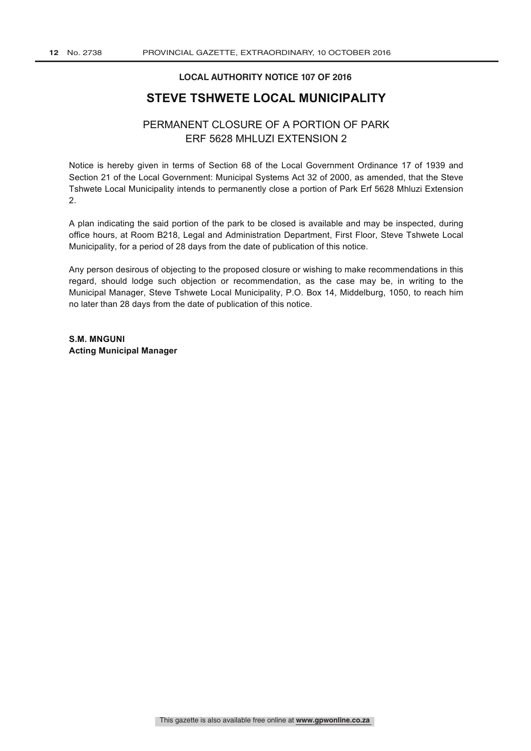#### **LOCAL AUTHORITY NOTICE 107 OF 2016**

#### **STEVE TSHWETE LOCAL MUNICIPALITY**

#### PERMANENT CLOSURE OF A PORTION OF PARK ERF 5628 MHLUZI EXTENSION 2

Notice is hereby given in terms of Section 68 of the Local Government Ordinance 17 of 1939 and Section 21 of the Local Government: Municipal Systems Act 32 of 2000, as amended, that the Steve Tshwete Local Municipality intends to permanently close a portion of Park Erf 5628 Mhluzi Extension 2.

A plan indicating the said portion of the park to be closed is available and may be inspected, during office hours, at Room B218, Legal and Administration Department, First Floor, Steve Tshwete Local Municipality, for a period of 28 days from the date of publication of this notice.

Any person desirous of objecting to the proposed closure or wishing to make recommendations in this regard, should lodge such objection or recommendation, as the case may be, in writing to the Municipal Manager, Steve Tshwete Local Municipality, P.O. Box 14, Middelburg, 1050, to reach him no later than 28 days from the date of publication of this notice.

**S.M. MNGUNI Acting Municipal Manager**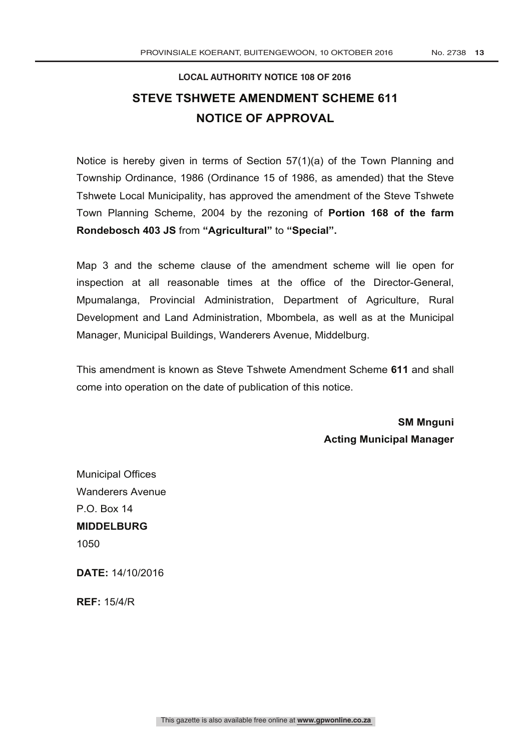## **LOCAL AUTHORITY NOTICE 108 OF 2016 STEVE TSHWETE AMENDMENT SCHEME 611 NOTICE OF APPROVAL**

Notice is hereby given in terms of Section 57(1)(a) of the Town Planning and Township Ordinance, 1986 (Ordinance 15 of 1986, as amended) that the Steve Tshwete Local Municipality, has approved the amendment of the Steve Tshwete Town Planning Scheme, 2004 by the rezoning of **Portion 168 of the farm Rondebosch 403 JS** from **"Agricultural"** to **"Special".**

Map 3 and the scheme clause of the amendment scheme will lie open for inspection at all reasonable times at the office of the Director-General, Mpumalanga, Provincial Administration, Department of Agriculture, Rural Development and Land Administration, Mbombela, as well as at the Municipal Manager, Municipal Buildings, Wanderers Avenue, Middelburg.

This amendment is known as Steve Tshwete Amendment Scheme **611** and shall come into operation on the date of publication of this notice.

> **SM Mnguni Acting Municipal Manager**

Municipal Offices Wanderers Avenue  $P \cap \text{Box } 14$ **MIDDELBURG** 1050

**DATE:** 14/10/2016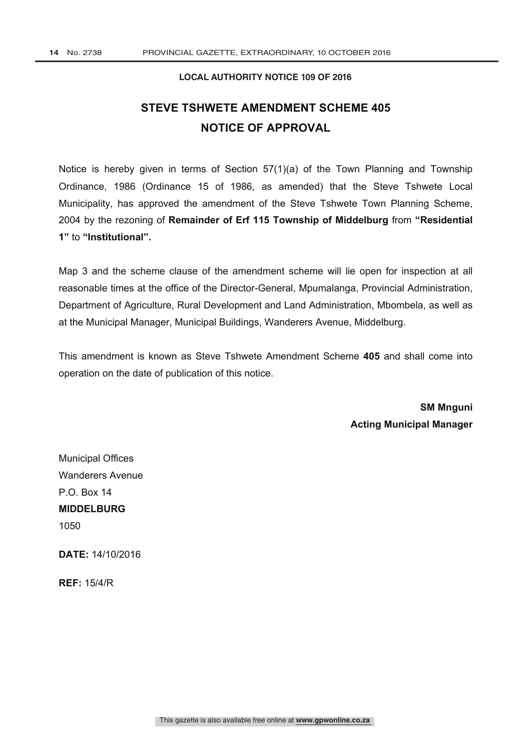#### **LOCAL AUTHORITY NOTICE 109 OF 2016**

## **STEVE TSHWETE AMENDMENT SCHEME 405 NOTICE OF APPROVAL**

Notice is hereby given in terms of Section 57(1)(a) of the Town Planning and Township Ordinance, 1986 (Ordinance 15 of 1986, as amended) that the Steve Tshwete Local Municipality, has approved the amendment of the Steve Tshwete Town Planning Scheme, 2004 by the rezoning of **Remainder of Erf 115 Township of Middelburg** from **"Residential 1"** to **"Institutional".**

Map 3 and the scheme clause of the amendment scheme will lie open for inspection at all reasonable times at the office of the Director-General, Mpumalanga, Provincial Administration, Department of Agriculture, Rural Development and Land Administration, Mbombela, as well as at the Municipal Manager, Municipal Buildings, Wanderers Avenue, Middelburg.

This amendment is known as Steve Tshwete Amendment Scheme **405** and shall come into operation on the date of publication of this notice.

> **SM Mnguni Acting Municipal Manager**

Municipal Offices Wanderers Avenue P.O. Box 14 **MIDDELBURG** 1050

**DATE:** 14/10/2016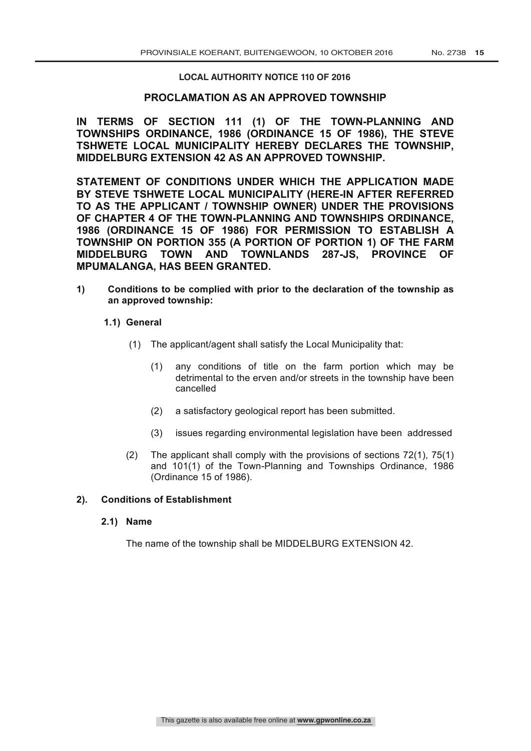#### **LOCAL AUTHORITY NOTICE 110 OF 2016 -1-**

#### **PROCLAMATION AS AN APPROVED TOWNSHIP**

**IN TERMS OF SECTION 111 (1) OF THE TOWN-PLANNING AND TOWNSHIPS ORDINANCE, 1986 (ORDINANCE 15 OF 1986), THE STEVE TSHWETE LOCAL MUNICIPALITY HEREBY DECLARES THE TOWNSHIP, MIDDELBURG EXTENSION 42 AS AN APPROVED TOWNSHIP.**

**STATEMENT OF CONDITIONS UNDER WHICH THE APPLICATION MADE BY STEVE TSHWETE LOCAL MUNICIPALITY (HERE-IN AFTER REFERRED TO AS THE APPLICANT / TOWNSHIP OWNER) UNDER THE PROVISIONS OF CHAPTER 4 OF THE TOWN-PLANNING AND TOWNSHIPS ORDINANCE, 1986 (ORDINANCE 15 OF 1986) FOR PERMISSION TO ESTABLISH A TOWNSHIP ON PORTION 355 (A PORTION OF PORTION 1) OF THE FARM MIDDELBURG TOWN AND TOWNLANDS 287-JS, PROVINCE OF MPUMALANGA, HAS BEEN GRANTED.**

**1) Conditions to be complied with prior to the declaration of the township as an approved township:**

#### **1.1) General**

- (1) The applicant/agent shall satisfy the Local Municipality that:
	- (1) any conditions of title on the farm portion which may be detrimental to the erven and/or streets in the township have been cancelled
	- (2) a satisfactory geological report has been submitted.
	- (3) issues regarding environmental legislation have been addressed
- (2) The applicant shall comply with the provisions of sections  $72(1)$ ,  $75(1)$ and 101(1) of the Town-Planning and Townships Ordinance, 1986 (Ordinance 15 of 1986).

#### **2). Conditions of Establishment**

#### **2.1) Name**

The name of the township shall be MIDDELBURG EXTENSION 42.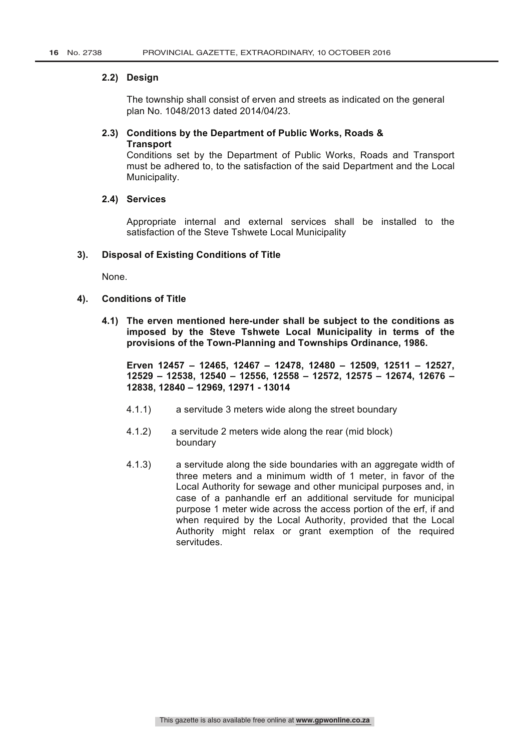#### **2.2) Design**

The township shall consist of erven and streets as indicated on the general plan No. 1048/2013 dated 2014/04/23.

#### **2.3) Conditions by the Department of Public Works, Roads & Transport**

Conditions set by the Department of Public Works, Roads and Transport must be adhered to, to the satisfaction of the said Department and the Local Municipality.

#### **2.4) Services**

Appropriate internal and external services shall be installed to the satisfaction of the Steve Tshwete Local Municipality

#### **3). Disposal of Existing Conditions of Title**

None.

#### **4). Conditions of Title**

**4.1) The erven mentioned here-under shall be subject to the conditions as imposed by the Steve Tshwete Local Municipality in terms of the provisions of the Town-Planning and Townships Ordinance, 1986.** 

**Erven 12457 – 12465, 12467 – 12478, 12480 – 12509, 12511 – 12527, 12529 – 12538, 12540 – 12556, 12558 – 12572, 12575 – 12674, 12676 – 12838, 12840 – 12969, 12971 - 13014**

- 4.1.1) a servitude 3 meters wide along the street boundary
- 4.1.2) a servitude 2 meters wide along the rear (mid block) boundary
- 4.1.3) a servitude along the side boundaries with an aggregate width of three meters and a minimum width of 1 meter, in favor of the Local Authority for sewage and other municipal purposes and, in case of a panhandle erf an additional servitude for municipal purpose 1 meter wide across the access portion of the erf, if and when required by the Local Authority, provided that the Local Authority might relax or grant exemption of the required servitudes.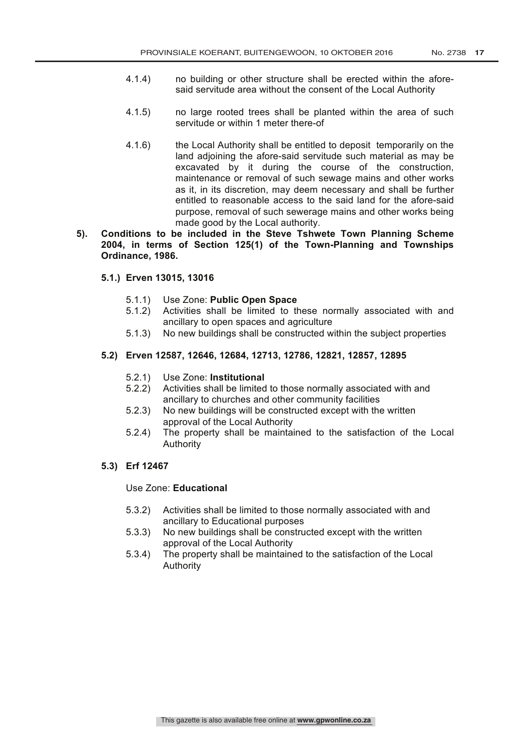- 4.1.4) no building or other structure shall be erected within the aforesaid servitude area without the consent of the Local Authority
- 4.1.5) no large rooted trees shall be planted within the area of such servitude or within 1 meter there-of
- 4.1.6) the Local Authority shall be entitled to deposit temporarily on the land adjoining the afore-said servitude such material as may be excavated by it during the course of the construction, maintenance or removal of such sewage mains and other works as it, in its discretion, may deem necessary and shall be further entitled to reasonable access to the said land for the afore-said purpose, removal of such sewerage mains and other works being made good by the Local authority.
- **5). Conditions to be included in the Steve Tshwete Town Planning Scheme 2004, in terms of Section 125(1) of the Town-Planning and Townships Ordinance, 1986.**

#### **5.1.) Erven 13015, 13016**

- 5.1.1) Use Zone: **Public Open Space**
- 5.1.2) Activities shall be limited to these normally associated with and ancillary to open spaces and agriculture
- 5.1.3) No new buildings shall be constructed within the subject properties

#### **5.2) Erven 12587, 12646, 12684, 12713, 12786, 12821, 12857, 12895**

- 5.2.1) Use Zone: **Institutional**
- 5.2.2) Activities shall be limited to those normally associated with and ancillary to churches and other community facilities
- 5.2.3) No new buildings will be constructed except with the written approval of the Local Authority
- 5.2.4) The property shall be maintained to the satisfaction of the Local Authority

#### **5.3) Erf 12467**

#### Use Zone: **Educational**

- 5.3.2) Activities shall be limited to those normally associated with and ancillary to Educational purposes
- 5.3.3) No new buildings shall be constructed except with the written approval of the Local Authority
- 5.3.4) The property shall be maintained to the satisfaction of the Local Authority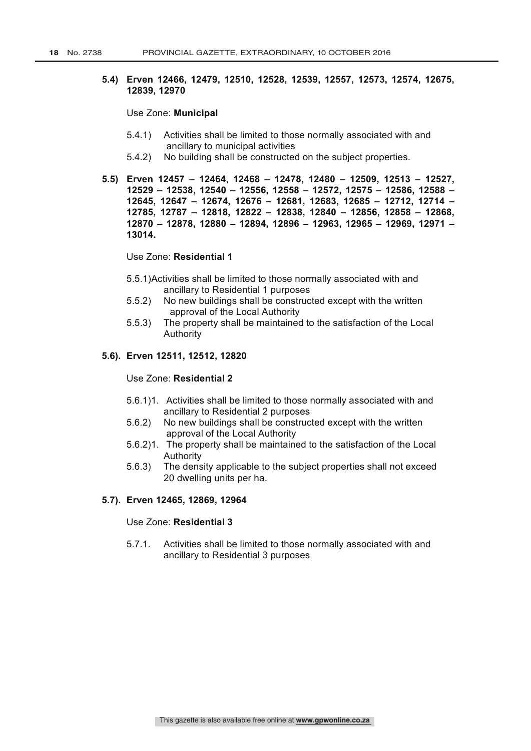#### **5.4) Erven 12466, 12479, 12510, 12528, 12539, 12557, 12573, 12574, 12675, 12839, 12970**

Use Zone: **Municipal**

- 5.4.1) Activities shall be limited to those normally associated with and ancillary to municipal activities
- 5.4.2) No building shall be constructed on the subject properties.
- **5.5) Erven 12457 – 12464, 12468 – 12478, 12480 – 12509, 12513 – 12527, 12529 – 12538, 12540 – 12556, 12558 – 12572, 12575 – 12586, 12588 – 12645, 12647 – 12674, 12676 – 12681, 12683, 12685 – 12712, 12714 – 12785, 12787 – 12818, 12822 – 12838, 12840 – 12856, 12858 – 12868, 12870 – 12878, 12880 – 12894, 12896 – 12963, 12965 – 12969, 12971 – 13014.**

#### Use Zone: **Residential 1**

5.5.1)Activities shall be limited to those normally associated with and ancillary to Residential 1 purposes

- 5.5.2) No new buildings shall be constructed except with the written approval of the Local Authority
- 5.5.3) The property shall be maintained to the satisfaction of the Local Authority

#### **5.6). Erven 12511, 12512, 12820**

#### Use Zone: **Residential 2**

- 5.6.1)1. Activities shall be limited to those normally associated with and ancillary to Residential 2 purposes
- 5.6.2) No new buildings shall be constructed except with the written approval of the Local Authority
- 5.6.2)1. The property shall be maintained to the satisfaction of the Local Authority
- 5.6.3) The density applicable to the subject properties shall not exceed 20 dwelling units per ha.

#### **5.7). Erven 12465, 12869, 12964**

#### Use Zone: **Residential 3**

5.7.1. Activities shall be limited to those normally associated with and ancillary to Residential 3 purposes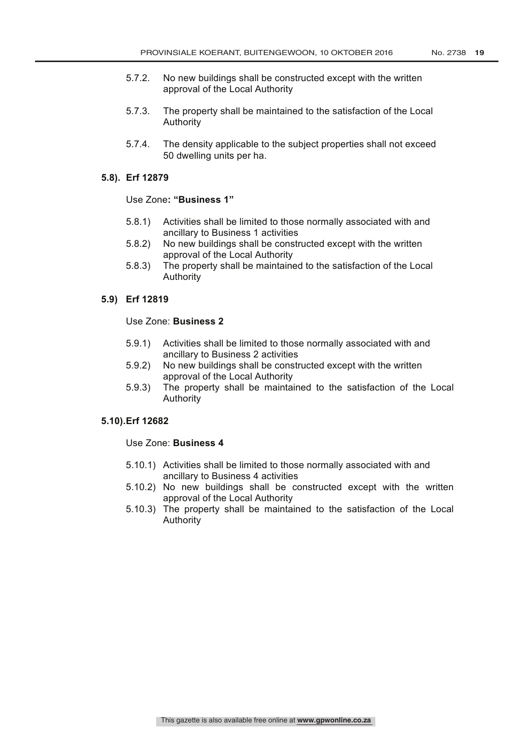- 5.7.2. No new buildings shall be constructed except with the written approval of the Local Authority
- 5.7.3. The property shall be maintained to the satisfaction of the Local Authority
- 5.7.4. The density applicable to the subject properties shall not exceed 50 dwelling units per ha.

#### **5.8). Erf 12879**

Use Zone**: "Business 1"**

- 5.8.1) Activities shall be limited to those normally associated with and ancillary to Business 1 activities
- 5.8.2) No new buildings shall be constructed except with the written approval of the Local Authority
- 5.8.3) The property shall be maintained to the satisfaction of the Local Authority

#### **5.9) Erf 12819**

#### Use Zone: **Business 2**

- 5.9.1) Activities shall be limited to those normally associated with and ancillary to Business 2 activities
- 5.9.2) No new buildings shall be constructed except with the written approval of the Local Authority
- 5.9.3) The property shall be maintained to the satisfaction of the Local Authority

#### **5.10).Erf 12682**

#### Use Zone: **Business 4**

- 5.10.1) Activities shall be limited to those normally associated with and ancillary to Business 4 activities
- 5.10.2) No new buildings shall be constructed except with the written approval of the Local Authority
- 5.10.3) The property shall be maintained to the satisfaction of the Local Authority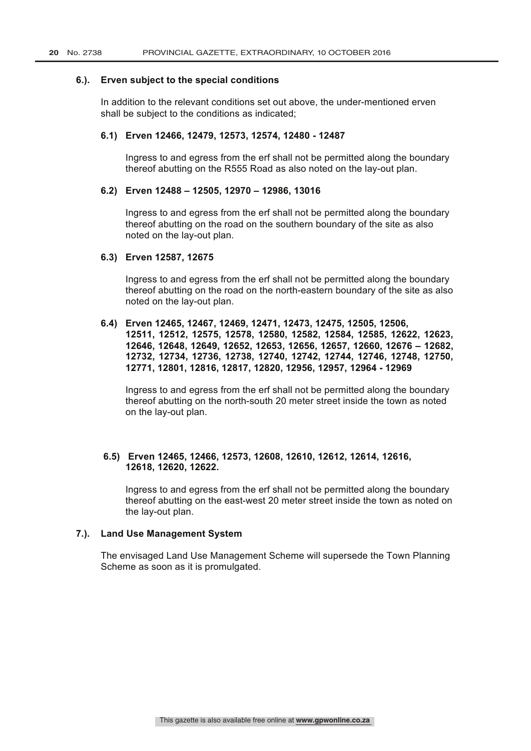#### **6.). Erven subject to the special conditions**

In addition to the relevant conditions set out above, the under-mentioned erven shall be subject to the conditions as indicated;

#### **6.1) Erven 12466, 12479, 12573, 12574, 12480 - 12487**

Ingress to and egress from the erf shall not be permitted along the boundary thereof abutting on the R555 Road as also noted on the lay-out plan.

#### **6.2) Erven 12488 – 12505, 12970 – 12986, 13016**

Ingress to and egress from the erf shall not be permitted along the boundary thereof abutting on the road on the southern boundary of the site as also noted on the lay-out plan.

#### **6.3) Erven 12587, 12675**

Ingress to and egress from the erf shall not be permitted along the boundary thereof abutting on the road on the north-eastern boundary of the site as also noted on the lay-out plan.

#### **6.4) Erven 12465, 12467, 12469, 12471, 12473, 12475, 12505, 12506,**

**12511, 12512, 12575, 12578, 12580, 12582, 12584, 12585, 12622, 12623, 12646, 12648, 12649, 12652, 12653, 12656, 12657, 12660, 12676 – 12682, 12732, 12734, 12736, 12738, 12740, 12742, 12744, 12746, 12748, 12750, 12771, 12801, 12816, 12817, 12820, 12956, 12957, 12964 - 12969**

Ingress to and egress from the erf shall not be permitted along the boundary thereof abutting on the north-south 20 meter street inside the town as noted on the lay-out plan.

#### **6.5) Erven 12465, 12466, 12573, 12608, 12610, 12612, 12614, 12616, 12618, 12620, 12622.**

Ingress to and egress from the erf shall not be permitted along the boundary thereof abutting on the east-west 20 meter street inside the town as noted on the lay-out plan.

#### **7.). Land Use Management System**

The envisaged Land Use Management Scheme will supersede the Town Planning Scheme as soon as it is promulgated.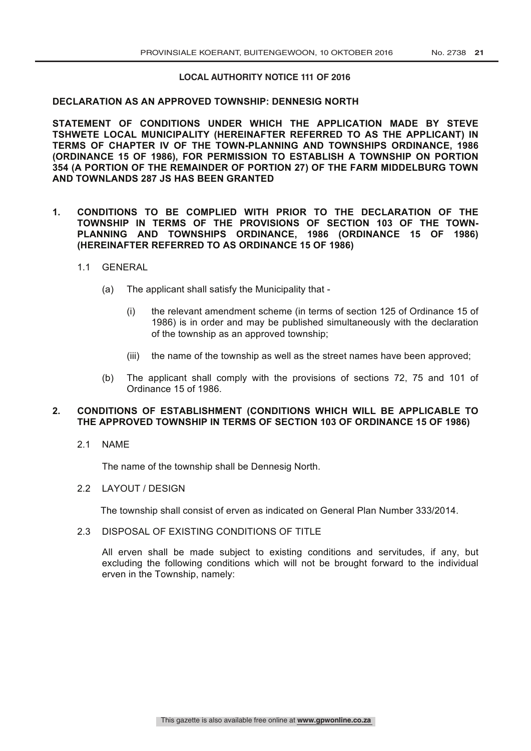#### **LOCAL AUTHORITY NOTICE 111 OF 2016**

#### **DECLARATION AS AN APPROVED TOWNSHIP: DENNESIG NORTH**

**STATEMENT OF CONDITIONS UNDER WHICH THE APPLICATION MADE BY STEVE TSHWETE LOCAL MUNICIPALITY (HEREINAFTER REFERRED TO AS THE APPLICANT) IN TERMS OF CHAPTER IV OF THE TOWN-PLANNING AND TOWNSHIPS ORDINANCE, 1986 (ORDINANCE 15 OF 1986), FOR PERMISSION TO ESTABLISH A TOWNSHIP ON PORTION 354 (A PORTION OF THE REMAINDER OF PORTION 27) OF THE FARM MIDDELBURG TOWN AND TOWNLANDS 287 JS HAS BEEN GRANTED**

- **1. CONDITIONS TO BE COMPLIED WITH PRIOR TO THE DECLARATION OF THE TOWNSHIP IN TERMS OF THE PROVISIONS OF SECTION 103 OF THE TOWN-PLANNING AND TOWNSHIPS ORDINANCE, 1986 (ORDINANCE 15 OF 1986) (HEREINAFTER REFERRED TO AS ORDINANCE 15 OF 1986)**
	- 1.1 GENERAL
		- (a) The applicant shall satisfy the Municipality that
			- (i) the relevant amendment scheme (in terms of section 125 of Ordinance 15 of 1986) is in order and may be published simultaneously with the declaration of the township as an approved township;
			- (iii) the name of the township as well as the street names have been approved;
		- (b) The applicant shall comply with the provisions of sections 72, 75 and 101 of Ordinance 15 of 1986.

#### **2. CONDITIONS OF ESTABLISHMENT (CONDITIONS WHICH WILL BE APPLICABLE TO THE APPROVED TOWNSHIP IN TERMS OF SECTION 103 OF ORDINANCE 15 OF 1986)**

2.1 NAME

The name of the township shall be Dennesig North.

2.2 LAYOUT / DESIGN

The township shall consist of erven as indicated on General Plan Number 333/2014.

2.3 DISPOSAL OF EXISTING CONDITIONS OF TITLE

All erven shall be made subject to existing conditions and servitudes, if any, but excluding the following conditions which will not be brought forward to the individual erven in the Township, namely: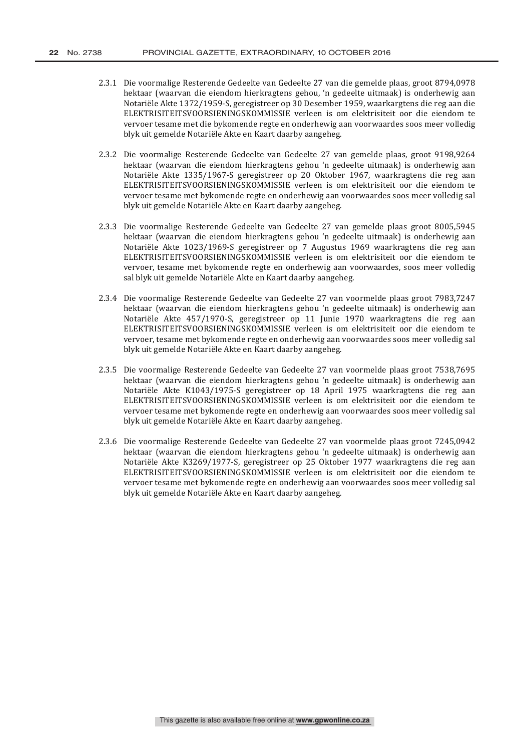- 2.3.1 Die voormalige Resterende Gedeelte van Gedeelte 27 van die gemelde plaas, groot 8794,0978 hektaar (waarvan die eiendom hierkragtens gehou, 'n gedeelte uitmaak) is onderhewig aan Notariële Akte 1372/1959-S, geregistreer op 30 Desember 1959, waarkargtens die reg aan die ELEKTRISITEITSVOORSIENINGSKOMMISSIE verleen is om elektrisiteit oor die eiendom te vervoer tesame met die bykomende regte en onderhewig aan voorwaardes soos meer volledig blyk uit gemelde Notariële Akte en Kaart daarby aangeheg.
- 2.3.2 Die voormalige Resterende Gedeelte van Gedeelte 27 van gemelde plaas, groot 9198,9264 hektaar (waarvan die eiendom hierkragtens gehou 'n gedeelte uitmaak) is onderhewig aan Notariële Akte 1335/1967-S geregistreer op 20 Oktober 1967, waarkragtens die reg aan ELEKTRISITEITSVOORSIENINGSKOMMISSIE verleen is om elektrisiteit oor die eiendom te vervoer tesame met bykomende regte en onderhewig aan voorwaardes soos meer volledig sal blyk uit gemelde Notariële Akte en Kaart daarby aangeheg.
- 2.3.3 Die voormalige Resterende Gedeelte van Gedeelte 27 van gemelde plaas groot 8005,5945 hektaar (waarvan die eiendom hierkragtens gehou 'n gedeelte uitmaak) is onderhewig aan Notariële Akte 1023/1969-S geregistreer op 7 Augustus 1969 waarkragtens die reg aan ELEKTRISITEITSVOORSIENINGSKOMMISSIE verleen is om elektrisiteit oor die eiendom te vervoer, tesame met bykomende regte en onderhewig aan voorwaardes, soos meer volledig sal blyk uit gemelde Notariële Akte en Kaart daarby aangeheg.
- 2.3.4 Die voormalige Resterende Gedeelte van Gedeelte 27 van voormelde plaas groot 7983,7247 hektaar (waarvan die eiendom hierkragtens gehou 'n gedeelte uitmaak) is onderhewig aan Notariële Akte 457/1970-S, geregistreer op 11 Junie 1970 waarkragtens die reg aan ELEKTRISITEITSVOORSIENINGSKOMMISSIE verleen is om elektrisiteit oor die eiendom te vervoer, tesame met bykomende regte en onderhewig aan voorwaardes soos meer volledig sal blyk uit gemelde Notariële Akte en Kaart daarby aangeheg.
- 2.3.5 Die voormalige Resterende Gedeelte van Gedeelte 27 van voormelde plaas groot 7538,7695 hektaar (waarvan die eiendom hierkragtens gehou 'n gedeelte uitmaak) is onderhewig aan Notariële Akte K1043/1975-S geregistreer op 18 April 1975 waarkragtens die reg aan ELEKTRISITEITSVOORSIENINGSKOMMISSIE verleen is om elektrisiteit oor die eiendom te vervoer tesame met bykomende regte en onderhewig aan voorwaardes soos meer volledig sal blyk uit gemelde Notariële Akte en Kaart daarby aangeheg.
- 2.3.6 Die voormalige Resterende Gedeelte van Gedeelte 27 van voormelde plaas groot 7245,0942 hektaar (waarvan die eiendom hierkragtens gehou 'n gedeelte uitmaak) is onderhewig aan Notariële Akte K3269/1977-S, geregistreer op 25 Oktober 1977 waarkragtens die reg aan ELEKTRISITEITSVOORSIENINGSKOMMISSIE verleen is om elektrisiteit oor die eiendom te vervoer tesame met bykomende regte en onderhewig aan voorwaardes soos meer volledig sal blyk uit gemelde Notariële Akte en Kaart daarby aangeheg.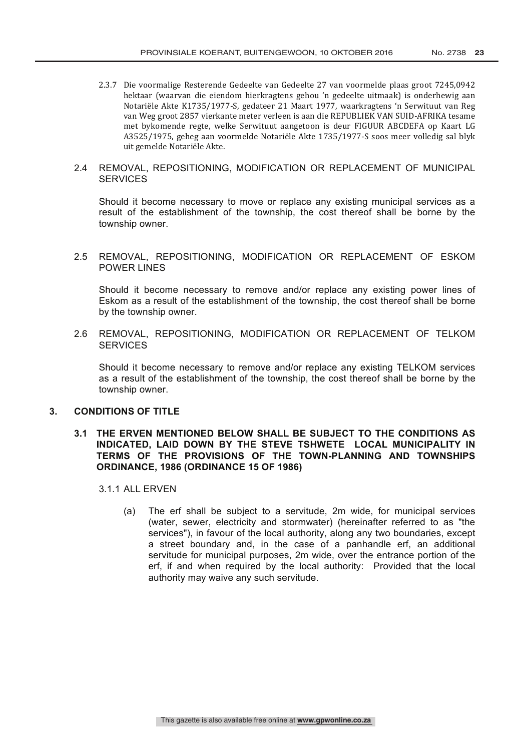2.3.7 Die voormalige Resterende Gedeelte van Gedeelte 27 van voormelde plaas groot 7245,0942 hektaar (waarvan die eiendom hierkragtens gehou 'n gedeelte uitmaak) is onderhewig aan Notariële Akte K1735/1977-S, gedateer 21 Maart 1977, waarkragtens 'n Serwituut van Reg van Weg groot 2857 vierkante meter verleen is aan die REPUBLIEK VAN SUID-AFRIKA tesame met bykomende regte, welke Serwituut aangetoon is deur FIGUUR ABCDEFA op Kaart LG A3525/1975, geheg aan voormelde Notariële Akte 1735/1977-S soos meer volledig sal blyk uit gemelde Notariële Akte.

#### 2.4 REMOVAL, REPOSITIONING, MODIFICATION OR REPLACEMENT OF MUNICIPAL **SERVICES**

Should it become necessary to move or replace any existing municipal services as a result of the establishment of the township, the cost thereof shall be borne by the township owner.

2.5 REMOVAL, REPOSITIONING, MODIFICATION OR REPLACEMENT OF ESKOM POWER LINES

Should it become necessary to remove and/or replace any existing power lines of Eskom as a result of the establishment of the township, the cost thereof shall be borne by the township owner.

2.6 REMOVAL, REPOSITIONING, MODIFICATION OR REPLACEMENT OF TELKOM **SERVICES** 

Should it become necessary to remove and/or replace any existing TELKOM services as a result of the establishment of the township, the cost thereof shall be borne by the township owner.

#### **3. CONDITIONS OF TITLE**

#### **3.1 THE ERVEN MENTIONED BELOW SHALL BE SUBJECT TO THE CONDITIONS AS INDICATED, LAID DOWN BY THE STEVE TSHWETE LOCAL MUNICIPALITY IN TERMS OF THE PROVISIONS OF THE TOWN-PLANNING AND TOWNSHIPS ORDINANCE, 1986 (ORDINANCE 15 OF 1986)**

3.1.1 ALL ERVEN

(a) The erf shall be subject to a servitude, 2m wide, for municipal services (water, sewer, electricity and stormwater) (hereinafter referred to as "the services"), in favour of the local authority, along any two boundaries, except a street boundary and, in the case of a panhandle erf, an additional servitude for municipal purposes, 2m wide, over the entrance portion of the erf, if and when required by the local authority: Provided that the local authority may waive any such servitude.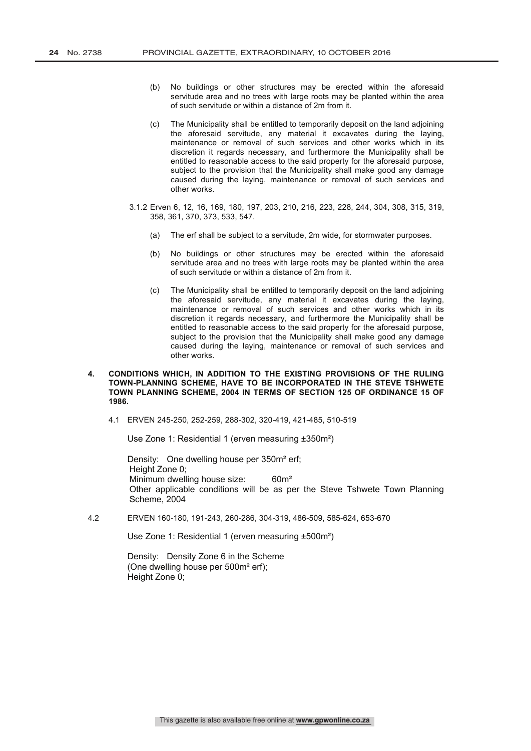- (b) No buildings or other structures may be erected within the aforesaid servitude area and no trees with large roots may be planted within the area of such servitude or within a distance of 2m from it.
- (c) The Municipality shall be entitled to temporarily deposit on the land adjoining the aforesaid servitude, any material it excavates during the laying, maintenance or removal of such services and other works which in its discretion it regards necessary, and furthermore the Municipality shall be entitled to reasonable access to the said property for the aforesaid purpose, subject to the provision that the Municipality shall make good any damage caused during the laying, maintenance or removal of such services and other works.
- 3.1.2 Erven 6, 12, 16, 169, 180, 197, 203, 210, 216, 223, 228, 244, 304, 308, 315, 319, 358, 361, 370, 373, 533, 547.
	- (a) The erf shall be subject to a servitude, 2m wide, for stormwater purposes.
	- (b) No buildings or other structures may be erected within the aforesaid servitude area and no trees with large roots may be planted within the area of such servitude or within a distance of 2m from it.
	- (c) The Municipality shall be entitled to temporarily deposit on the land adjoining the aforesaid servitude, any material it excavates during the laying, maintenance or removal of such services and other works which in its discretion it regards necessary, and furthermore the Municipality shall be entitled to reasonable access to the said property for the aforesaid purpose, subject to the provision that the Municipality shall make good any damage caused during the laying, maintenance or removal of such services and other works.
- **4. CONDITIONS WHICH, IN ADDITION TO THE EXISTING PROVISIONS OF THE RULING TOWN-PLANNING SCHEME, HAVE TO BE INCORPORATED IN THE STEVE TSHWETE TOWN PLANNING SCHEME, 2004 IN TERMS OF SECTION 125 OF ORDINANCE 15 OF 1986.**
	- 4.1 ERVEN 245-250, 252-259, 288-302, 320-419, 421-485, 510-519

Use Zone 1: Residential 1 (erven measuring ±350m²)

Density: One dwelling house per 350m<sup>2</sup> erf; Height Zone 0; Minimum dwelling house size: 60m<sup>2</sup> Other applicable conditions will be as per the Steve Tshwete Town Planning Scheme, 2004

4.2 ERVEN 160-180, 191-243, 260-286, 304-319, 486-509, 585-624, 653-670

Use Zone 1: Residential 1 (erven measuring ±500m²)

Density: Density Zone 6 in the Scheme (One dwelling house per 500m² erf); Height Zone 0;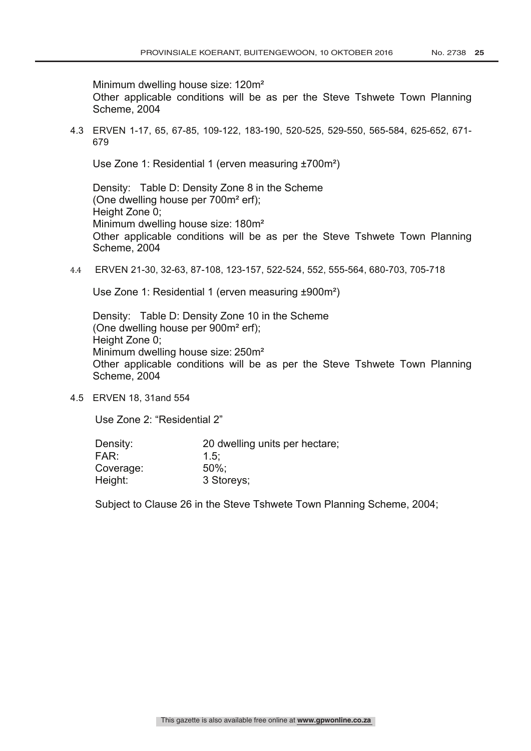Minimum dwelling house size: 120m² Other applicable conditions will be as per the Steve Tshwete Town Planning Scheme, 2004

4.3 ERVEN 1-17, 65, 67-85, 109-122, 183-190, 520-525, 529-550, 565-584, 625-652, 671- 679

Use Zone 1: Residential 1 (erven measuring ±700m²)

Density: Table D: Density Zone 8 in the Scheme (One dwelling house per 700m² erf); Height Zone 0: Minimum dwelling house size: 180m² Other applicable conditions will be as per the Steve Tshwete Town Planning Scheme, 2004

4.4 ERVEN 21-30, 32-63, 87-108, 123-157, 522-524, 552, 555-564, 680-703, 705-718

Use Zone 1: Residential 1 (erven measuring ±900m²)

Density: Table D: Density Zone 10 in the Scheme (One dwelling house per 900m² erf); Height Zone 0; Minimum dwelling house size: 250m² Other applicable conditions will be as per the Steve Tshwete Town Planning Scheme, 2004

4.5 ERVEN 18, 31and 554

Use Zone 2: "Residential 2"

| Density:  | 20 dwelling units per hectare; |
|-----------|--------------------------------|
| FAR:      | 1.5:                           |
| Coverage: | $50\%$                         |
| Height:   | 3 Storeys;                     |

Subject to Clause 26 in the Steve Tshwete Town Planning Scheme, 2004;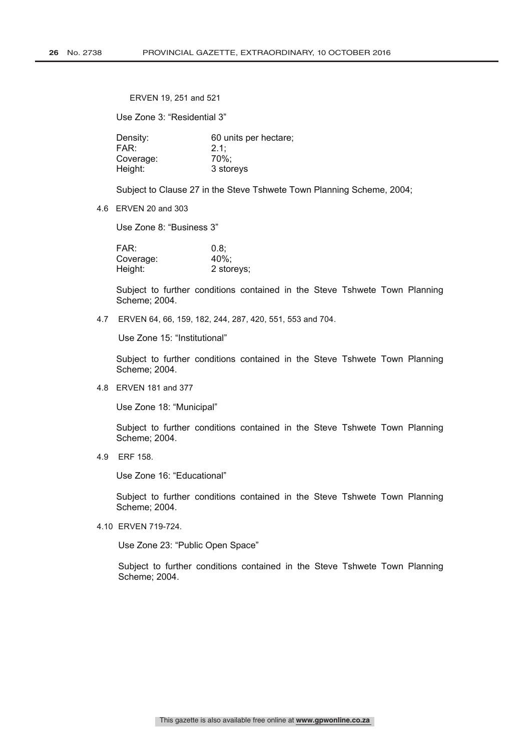#### ERVEN 19, 251 and 521

Use Zone 3: "Residential 3"

Density: 60 units per hectare;<br>FAR: 2.1; FAR: Coverage: 70%; Height: 3 storeys

Subject to Clause 27 in the Steve Tshwete Town Planning Scheme, 2004;

4.6 ERVEN 20 and 303

Use Zone 8: "Business 3"

FAR: 0.8;<br>Coverage: 40%; Coverage: Height: 2 storeys;

Subject to further conditions contained in the Steve Tshwete Town Planning Scheme; 2004.

4.7 ERVEN 64, 66, 159, 182, 244, 287, 420, 551, 553 and 704.

Use Zone 15: "Institutional"

Subject to further conditions contained in the Steve Tshwete Town Planning Scheme; 2004.

4.8 ERVEN 181 and 377

Use Zone 18: "Municipal"

Subject to further conditions contained in the Steve Tshwete Town Planning Scheme; 2004.

4.9 ERF 158.

Use Zone 16: "Educational"

Subject to further conditions contained in the Steve Tshwete Town Planning Scheme; 2004.

4.10 ERVEN 719-724.

Use Zone 23: "Public Open Space"

Subject to further conditions contained in the Steve Tshwete Town Planning Scheme; 2004.